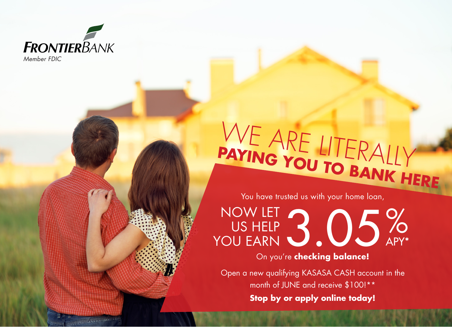

**Party of the Community of the Community of the Community of the Community of the Community of the Community of the Community of the Community of the Community of the Community of The Community of The Community of The Comm** 

*Member FDIC*

# WE ARE LITERALLY **PAYING YOU TO BANK HERE**

You have trusted us with your home loan,

3.05% APY\* NOW LET US HELP YOU EARN

## On you're **checking balance!**

**Stop by or apply online today!** Open a new qualifying KASASA CASH account in the month of JUNE and receive \$100!\*\*